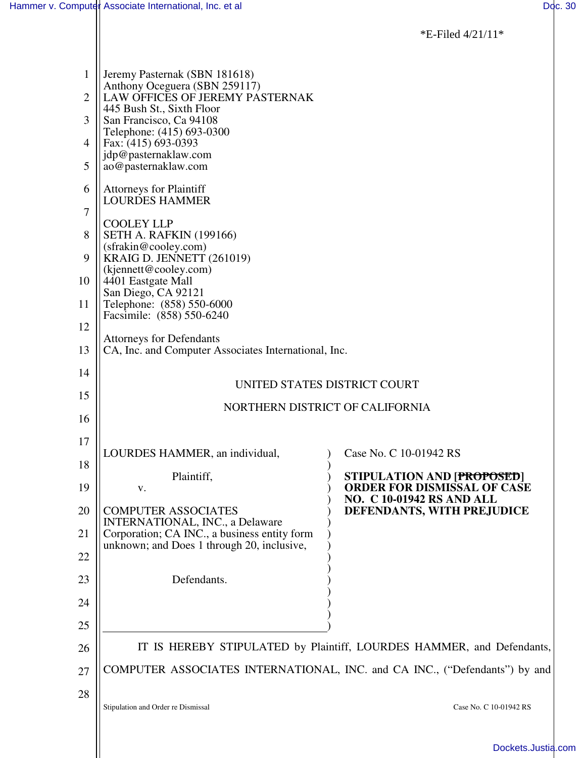\*E-Filed 4/21/11\*

| $\mathbf{1}$<br>$\overline{2}$ | Jeremy Pasternak (SBN 181618)<br>Anthony Oceguera (SBN 259117)<br>LAW OFFICES OF JEREMY PASTERNAK |                                                                         |
|--------------------------------|---------------------------------------------------------------------------------------------------|-------------------------------------------------------------------------|
|                                | 445 Bush St., Sixth Floor                                                                         |                                                                         |
| 3                              | San Francisco, Ca 94108<br>Telephone: (415) 693-0300                                              |                                                                         |
| 4                              | Fax: (415) 693-0393<br>jdp@pasternaklaw.com                                                       |                                                                         |
| 5                              | ao@pasternaklaw.com                                                                               |                                                                         |
| 6                              | <b>Attorneys for Plaintiff</b><br><b>LOURDES HAMMER</b>                                           |                                                                         |
| 7                              | <b>COOLEY LLP</b>                                                                                 |                                                                         |
| 8                              | <b>SETH A. RAFKIN (199166)</b><br>(sfrakin@cooley.com)                                            |                                                                         |
| 9                              | KRAIG D. JENNETT (261019)<br>(kjennett@cooley.com)                                                |                                                                         |
| 10                             | 4401 Eastgate Mall                                                                                |                                                                         |
| 11                             | San Diego, CA 92121<br>Telephone: (858) 550-6000                                                  |                                                                         |
| 12                             | Facsimile: (858) 550-6240                                                                         |                                                                         |
| 13                             | <b>Attorneys for Defendants</b><br>CA, Inc. and Computer Associates International, Inc.           |                                                                         |
| 14                             |                                                                                                   |                                                                         |
| 15                             | UNITED STATES DISTRICT COURT                                                                      |                                                                         |
| 16                             | NORTHERN DISTRICT OF CALIFORNIA                                                                   |                                                                         |
| 17                             |                                                                                                   |                                                                         |
| 18                             | LOURDES HAMMER, an individual,                                                                    | Case No. C 10-01942 RS                                                  |
| 19                             | Plaintiff,<br>V.                                                                                  | <b>STIPULATION AND [PROPOSED]</b><br><b>ORDER FOR DISMISSAL OF CASE</b> |
| 20                             | <b>COMPUTER ASSOCIATES</b>                                                                        | <b>NO. C 10-01942 RS AND ALL</b><br>DEFENDANTS, WITH PREJUDICE          |
| 21                             | <b>INTERNATIONAL, INC., a Delaware</b><br>Corporation; CA INC., a business entity form            |                                                                         |
| 22                             | unknown; and Does 1 through 20, inclusive,                                                        |                                                                         |
| 23                             | Defendants.                                                                                       |                                                                         |
| 24                             |                                                                                                   |                                                                         |
| 25                             |                                                                                                   |                                                                         |
| 26                             | IT IS HEREBY STIPULATED by Plaintiff, LOURDES HAMMER, and Defendants,                             |                                                                         |
| 27                             | COMPUTER ASSOCIATES INTERNATIONAL, INC. and CA INC., ("Defendants") by and                        |                                                                         |
| 28                             | Stipulation and Order re Dismissal                                                                | Case No. C 10-01942 RS                                                  |